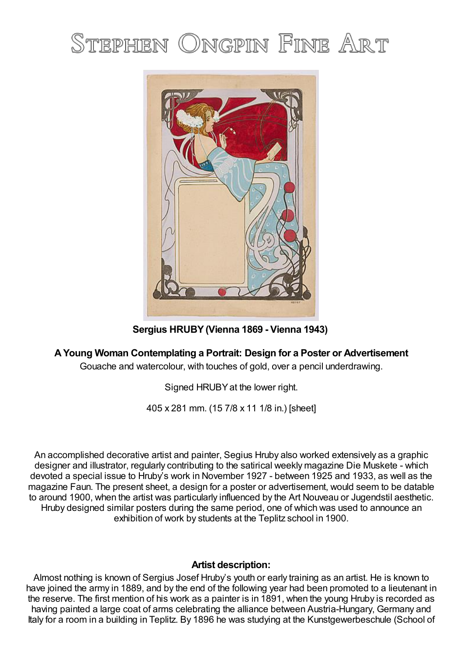## STEPHEN ONGPIN FINE ART



**Sergius HRUBY(Vienna 1869 - Vienna 1943)**

## **AYoung Woman Contemplating a Portrait: Design for a Poster or Advertisement**

Gouache and watercolour, with touches of gold, over a pencil underdrawing.

Signed HRUBYat the lower right.

405 x 281 mm. (15 7/8 x 11 1/8 in.) [sheet]

An accomplished decorative artist and painter, Segius Hruby also worked extensively as a graphic designer and illustrator, regularly contributing to the satirical weekly magazine Die Muskete - which devoted a special issue to Hruby's work in November 1927 - between 1925 and 1933, as well as the magazine Faun. The present sheet, a design for a poster or advertisement, would seem to be datable to around 1900, when the artist was particularly influenced by the Art Nouveau or Jugendstil aesthetic. Hruby designed similar posters during the same period, one of which was used to announce an exhibition of work by students at the Teplitz school in 1900.

## **Artist description:**

Almost nothing is known of Sergius Josef Hruby's youth or early training as an artist. He is known to have joined the army in 1889, and by the end of the following year had been promoted to a lieutenant in the reserve. The first mention of his work as a painter is in 1891, when the young Hruby is recorded as having painted a large coat of arms celebrating the alliance between Austria-Hungary, Germany and Italy for a room in a building in Teplitz. By 1896 he was studying at the Kunstgewerbeschule (School of